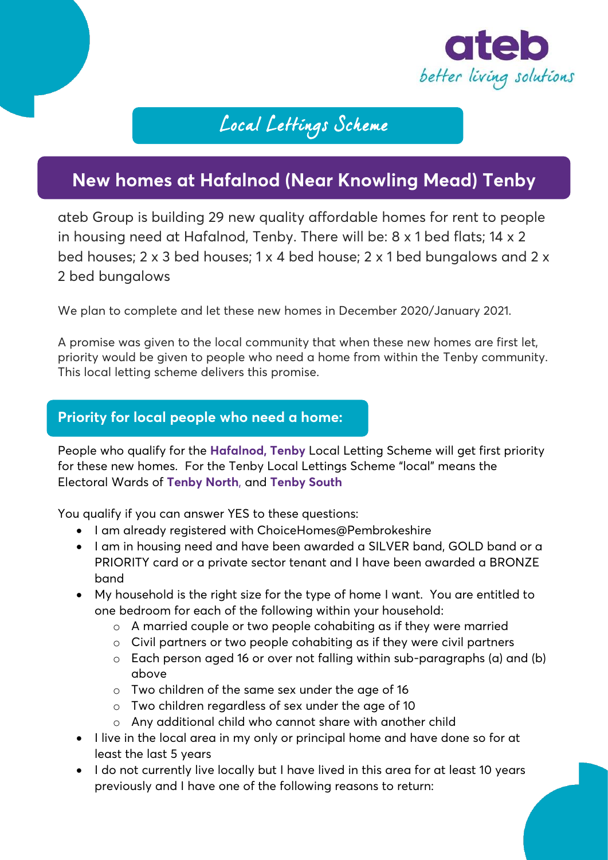

# Local Lettings Scheme

# **New homes at Hafalnod (Near Knowling Mead) Tenby**

ateb Group is building 29 new quality affordable homes for rent to people in housing need at Hafalnod, Tenby. There will be: 8 x 1 bed flats; 14 x 2 bed houses; 2 x 3 bed houses; 1 x 4 bed house; 2 x 1 bed bungalows and 2 x 2 bed bungalows

We plan to complete and let these new homes in December 2020/January 2021.

A promise was given to the local community that when these new homes are first let, priority would be given to people who need a home from within the Tenby community. This local letting scheme delivers this promise.

#### **Priority for local people who need a home:**

People who qualify for the **Hafalnod, Tenby** Local Letting Scheme will get first priority for these new homes. For the Tenby Local Lettings Scheme "local" means the Electoral Wards of **Tenby North**, and **Tenby South**

You qualify if you can answer YES to these questions:

- I am already registered with ChoiceHomes@Pembrokeshire
- I am in housing need and have been awarded a SILVER band, GOLD band or a PRIORITY card or a private sector tenant and I have been awarded a BRONZE band
- My household is the right size for the type of home I want. You are entitled to one bedroom for each of the following within your household:
	- o A married couple or two people cohabiting as if they were married
	- o Civil partners or two people cohabiting as if they were civil partners
	- $\circ$  Each person aged 16 or over not falling within sub-paragraphs (a) and (b) above
	- o Two children of the same sex under the age of 16
	- o Two children regardless of sex under the age of 10
	- o Any additional child who cannot share with another child
- I live in the local area in my only or principal home and have done so for at least the last 5 years
- I do not currently live locally but I have lived in this area for at least 10 years previously and I have one of the following reasons to return: